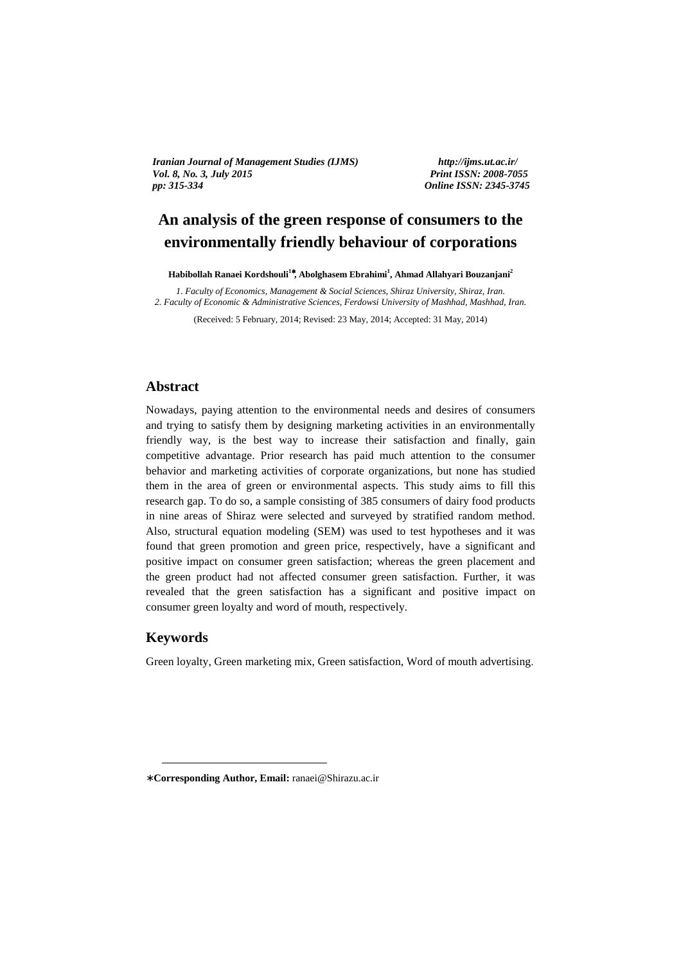*Iranian Journal of Management Studies (IJMS) http://ijms.ut.ac.ir/ Vol. 8, No. 3, July 2015 Print ISSN: 2008-7055 pp: 315-334 Online ISSN: 2345-3745* 

# **An analysis of the green response of consumers to the environmentally friendly behaviour of corporations**

**Habibollah Ranaei Kordshouli<sup>1</sup>**<sup>∗</sup>**, Abolghasem Ebrahimi<sup>1</sup> , Ahmad Allahyari Bouzanjani<sup>2</sup>**

*1. Faculty of Economics, Management & Social Sciences, Shiraz University, Shiraz, Iran. 2. Faculty of Economic & Administrative Sciences, Ferdowsi University of Mashhad, Mashhad, Iran.* 

(Received: 5 February, 2014; Revised: 23 May, 2014; Accepted: 31 May, 2014)

#### **Abstract**

Nowadays, paying attention to the environmental needs and desires of consumers and trying to satisfy them by designing marketing activities in an environmentally friendly way, is the best way to increase their satisfaction and finally, gain competitive advantage. Prior research has paid much attention to the consumer behavior and marketing activities of corporate organizations, but none has studied them in the area of green or environmental aspects. This study aims to fill this research gap. To do so, a sample consisting of 385 consumers of dairy food products in nine areas of Shiraz were selected and surveyed by stratified random method. Also, structural equation modeling (SEM) was used to test hypotheses and it was found that green promotion and green price, respectively, have a significant and positive impact on consumer green satisfaction; whereas the green placement and the green product had not affected consumer green satisfaction. Further, it was revealed that the green satisfaction has a significant and positive impact on consumer green loyalty and word of mouth, respectively.

#### **Keywords**

<u>.</u>

Green loyalty, Green marketing mix, Green satisfaction, Word of mouth advertising.

<sup>∗</sup> **Corresponding Author, Email:** ranaei@Shirazu.ac.ir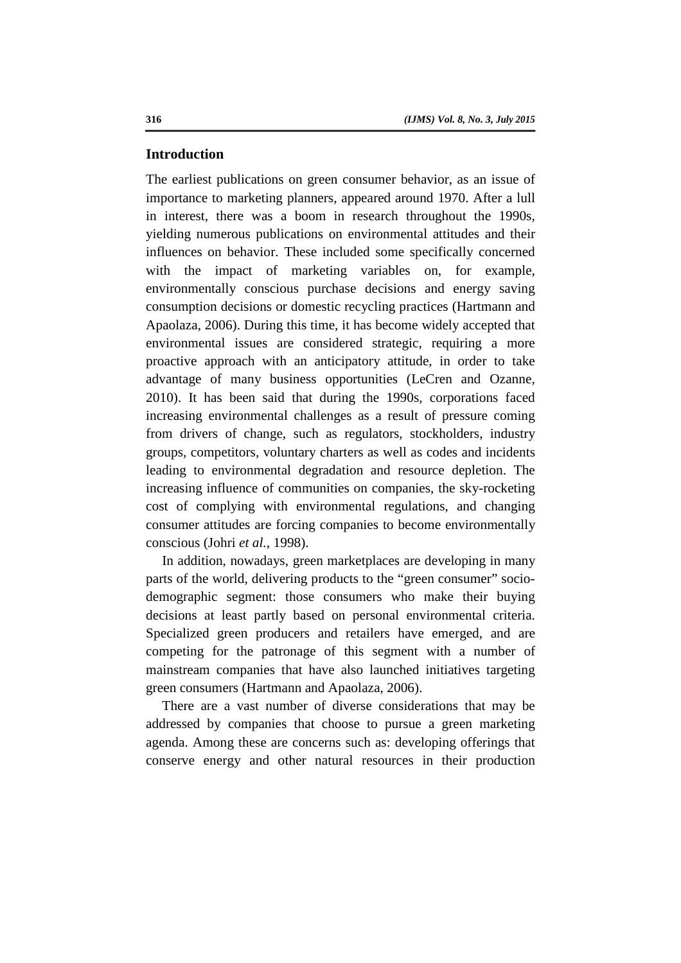#### **Introduction**

The earliest publications on green consumer behavior, as an issue of importance to marketing planners, appeared around 1970. After a lull in interest, there was a boom in research throughout the 1990s, yielding numerous publications on environmental attitudes and their influences on behavior. These included some specifically concerned with the impact of marketing variables on, for example, environmentally conscious purchase decisions and energy saving consumption decisions or domestic recycling practices (Hartmann and Apaolaza, 2006). During this time, it has become widely accepted that environmental issues are considered strategic, requiring a more proactive approach with an anticipatory attitude, in order to take advantage of many business opportunities (LeCren and Ozanne, 2010). It has been said that during the 1990s, corporations faced increasing environmental challenges as a result of pressure coming from drivers of change, such as regulators, stockholders, industry groups, competitors, voluntary charters as well as codes and incidents leading to environmental degradation and resource depletion. The increasing influence of communities on companies, the sky-rocketing cost of complying with environmental regulations, and changing consumer attitudes are forcing companies to become environmentally conscious (Johri *et al.*, 1998).

In addition, nowadays, green marketplaces are developing in many parts of the world, delivering products to the "green consumer" sociodemographic segment: those consumers who make their buying decisions at least partly based on personal environmental criteria. Specialized green producers and retailers have emerged, and are competing for the patronage of this segment with a number of mainstream companies that have also launched initiatives targeting green consumers (Hartmann and Apaolaza, 2006).

There are a vast number of diverse considerations that may be addressed by companies that choose to pursue a green marketing agenda. Among these are concerns such as: developing offerings that conserve energy and other natural resources in their production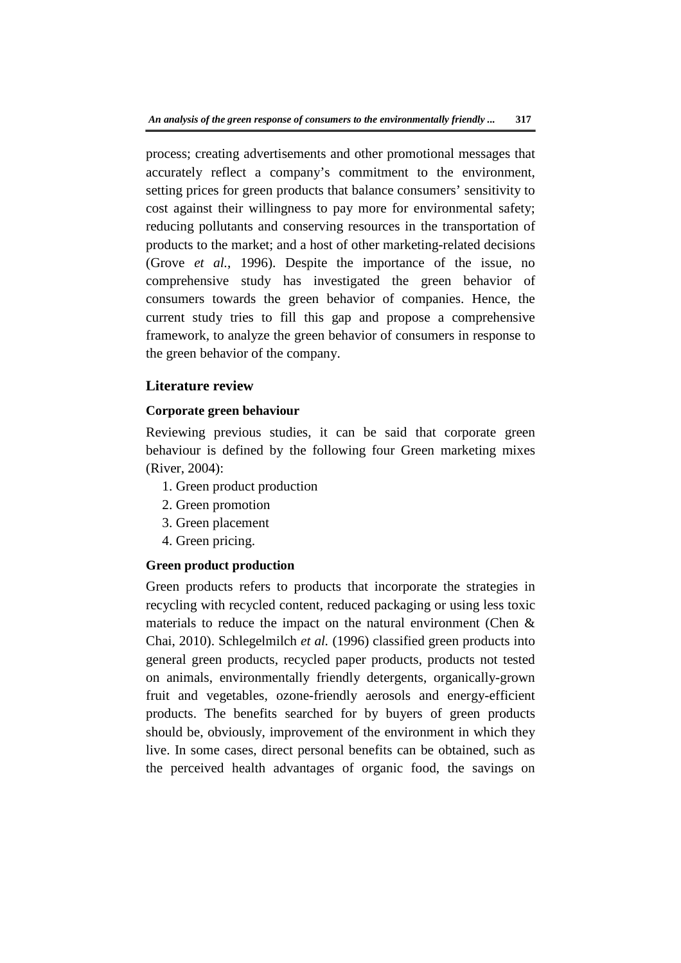process; creating advertisements and other promotional messages that accurately reflect a company's commitment to the environment, setting prices for green products that balance consumers' sensitivity to cost against their willingness to pay more for environmental safety; reducing pollutants and conserving resources in the transportation of products to the market; and a host of other marketing-related decisions (Grove *et al.*, 1996). Despite the importance of the issue, no comprehensive study has investigated the green behavior of consumers towards the green behavior of companies. Hence, the current study tries to fill this gap and propose a comprehensive framework, to analyze the green behavior of consumers in response to the green behavior of the company.

# **Literature review**

# **Corporate green behaviour**

Reviewing previous studies, it can be said that corporate green behaviour is defined by the following four Green marketing mixes (River, 2004):

- 1. Green product production
- 2. Green promotion
- 3. Green placement
- 4. Green pricing.

# **Green product production**

Green products refers to products that incorporate the strategies in recycling with recycled content, reduced packaging or using less toxic materials to reduce the impact on the natural environment (Chen & Chai, 2010). Schlegelmilch *et al.* (1996) classified green products into general green products, recycled paper products, products not tested on animals, environmentally friendly detergents, organically-grown fruit and vegetables, ozone-friendly aerosols and energy-efficient products. The benefits searched for by buyers of green products should be, obviously, improvement of the environment in which they live. In some cases, direct personal benefits can be obtained, such as the perceived health advantages of organic food, the savings on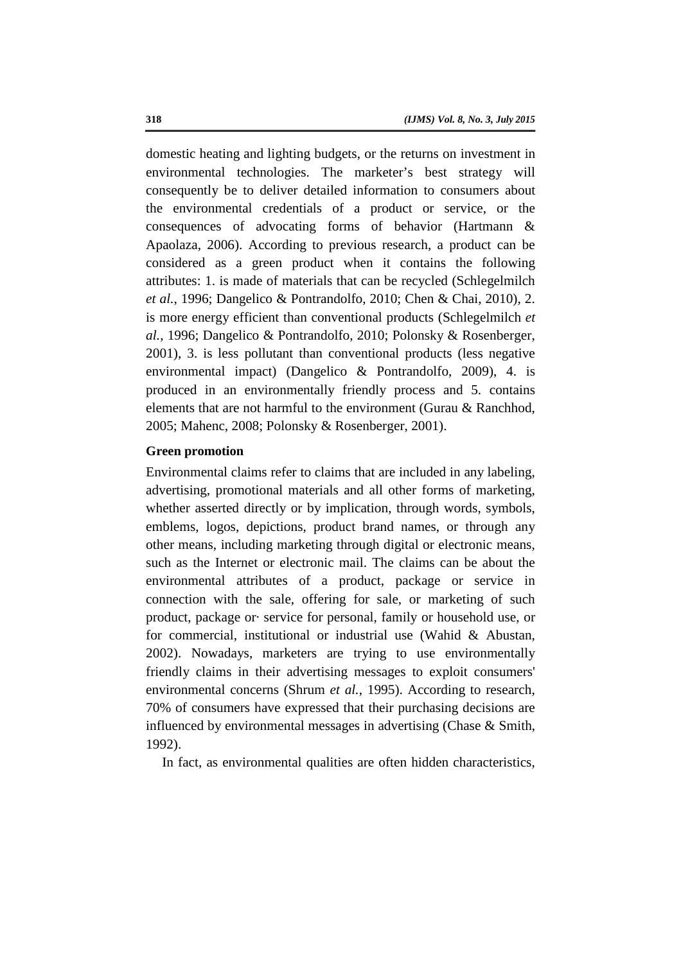domestic heating and lighting budgets, or the returns on investment in environmental technologies. The marketer's best strategy will consequently be to deliver detailed information to consumers about the environmental credentials of a product or service, or the consequences of advocating forms of behavior (Hartmann & Apaolaza, 2006). According to previous research, a product can be considered as a green product when it contains the following attributes: 1. is made of materials that can be recycled (Schlegelmilch *et al.*, 1996; Dangelico & Pontrandolfo, 2010; Chen & Chai, 2010), 2. is more energy efficient than conventional products (Schlegelmilch *et al.*, 1996; Dangelico & Pontrandolfo, 2010; Polonsky & Rosenberger, 2001), 3. is less pollutant than conventional products (less negative environmental impact) (Dangelico & Pontrandolfo, 2009), 4. is produced in an environmentally friendly process and 5. contains elements that are not harmful to the environment (Gurau & Ranchhod, 2005; Mahenc, 2008; Polonsky & Rosenberger, 2001).

#### **Green promotion**

Environmental claims refer to claims that are included in any labeling, advertising, promotional materials and all other forms of marketing, whether asserted directly or by implication, through words, symbols, emblems, logos, depictions, product brand names, or through any other means, including marketing through digital or electronic means, such as the Internet or electronic mail. The claims can be about the environmental attributes of a product, package or service in connection with the sale, offering for sale, or marketing of such product, package or· service for personal, family or household use, or for commercial, institutional or industrial use (Wahid & Abustan, 2002). Nowadays, marketers are trying to use environmentally friendly claims in their advertising messages to exploit consumers' environmental concerns (Shrum *et al.*, 1995). According to research, 70% of consumers have expressed that their purchasing decisions are influenced by environmental messages in advertising (Chase & Smith, 1992).

In fact, as environmental qualities are often hidden characteristics,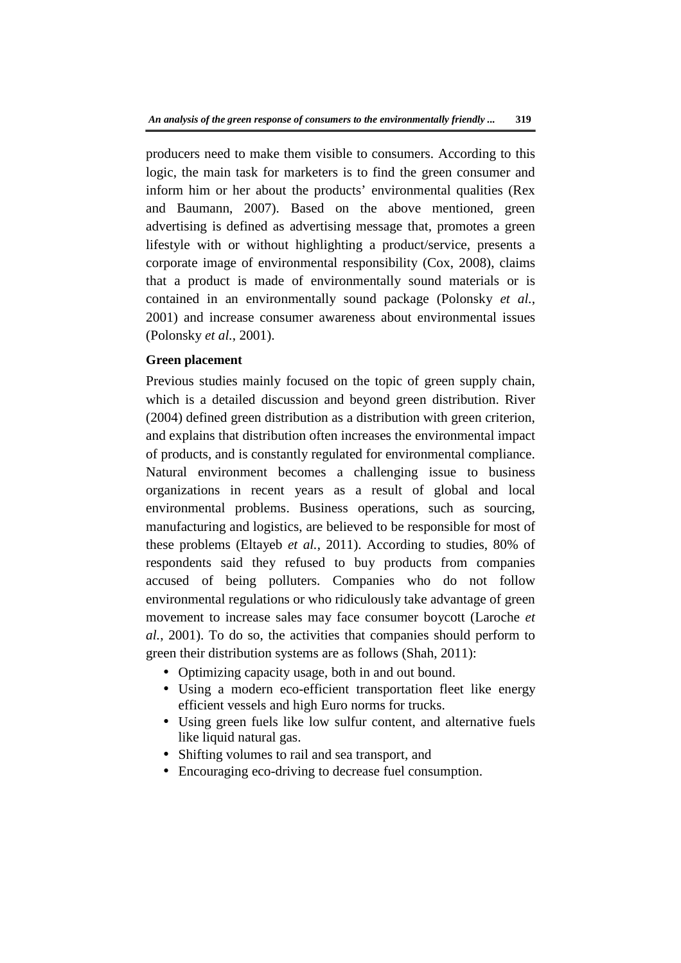producers need to make them visible to consumers. According to this logic, the main task for marketers is to find the green consumer and inform him or her about the products' environmental qualities (Rex and Baumann, 2007). Based on the above mentioned, green advertising is defined as advertising message that, promotes a green lifestyle with or without highlighting a product/service, presents a corporate image of environmental responsibility (Cox, 2008), claims that a product is made of environmentally sound materials or is contained in an environmentally sound package (Polonsky *et al.*, 2001) and increase consumer awareness about environmental issues (Polonsky *et al.*, 2001).

# **Green placement**

Previous studies mainly focused on the topic of green supply chain, which is a detailed discussion and beyond green distribution. River (2004) defined green distribution as a distribution with green criterion, and explains that distribution often increases the environmental impact of products, and is constantly regulated for environmental compliance. Natural environment becomes a challenging issue to business organizations in recent years as a result of global and local environmental problems. Business operations, such as sourcing, manufacturing and logistics, are believed to be responsible for most of these problems (Eltayeb *et al.*, 2011). According to studies, 80% of respondents said they refused to buy products from companies accused of being polluters. Companies who do not follow environmental regulations or who ridiculously take advantage of green movement to increase sales may face consumer boycott (Laroche *et al.*, 2001). To do so, the activities that companies should perform to green their distribution systems are as follows (Shah, 2011):

- Optimizing capacity usage, both in and out bound.
- Using a modern eco-efficient transportation fleet like energy efficient vessels and high Euro norms for trucks.
- Using green fuels like low sulfur content, and alternative fuels like liquid natural gas.
- Shifting volumes to rail and sea transport, and
- Encouraging eco-driving to decrease fuel consumption.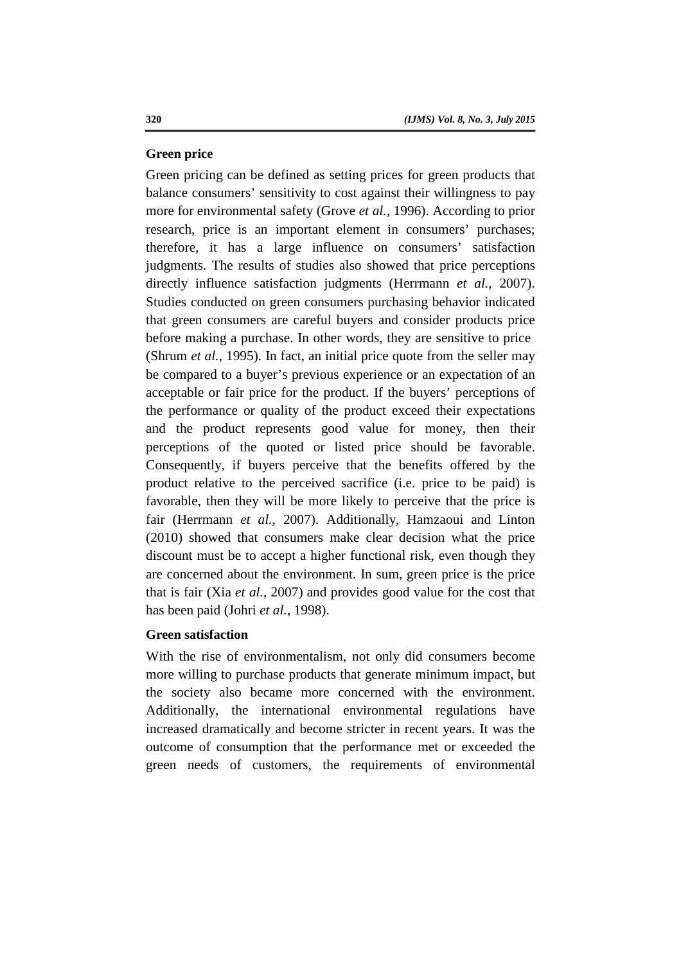#### **Green price**

Green pricing can be defined as setting prices for green products that balance consumers' sensitivity to cost against their willingness to pay more for environmental safety (Grove *et al.*, 1996). According to prior research, price is an important element in consumers' purchases; therefore, it has a large influence on consumers' satisfaction judgments. The results of studies also showed that price perceptions directly influence satisfaction judgments (Herrmann *et al.*, 2007). Studies conducted on green consumers purchasing behavior indicated that green consumers are careful buyers and consider products price before making a purchase. In other words, they are sensitive to price (Shrum *et al.*, 1995). In fact, an initial price quote from the seller may be compared to a buyer's previous experience or an expectation of an acceptable or fair price for the product. If the buyers' perceptions of the performance or quality of the product exceed their expectations and the product represents good value for money, then their perceptions of the quoted or listed price should be favorable. Consequently, if buyers perceive that the benefits offered by the product relative to the perceived sacrifice (i.e. price to be paid) is favorable, then they will be more likely to perceive that the price is fair (Herrmann *et al.*, 2007). Additionally, Hamzaoui and Linton (2010) showed that consumers make clear decision what the price discount must be to accept a higher functional risk, even though they are concerned about the environment. In sum, green price is the price that is fair (Xia *et al.*, 2007) and provides good value for the cost that has been paid (Johri *et al.*, 1998).

#### **Green satisfaction**

With the rise of environmentalism, not only did consumers become more willing to purchase products that generate minimum impact, but the society also became more concerned with the environment. Additionally, the international environmental regulations have increased dramatically and become stricter in recent years. It was the outcome of consumption that the performance met or exceeded the green needs of customers, the requirements of environmental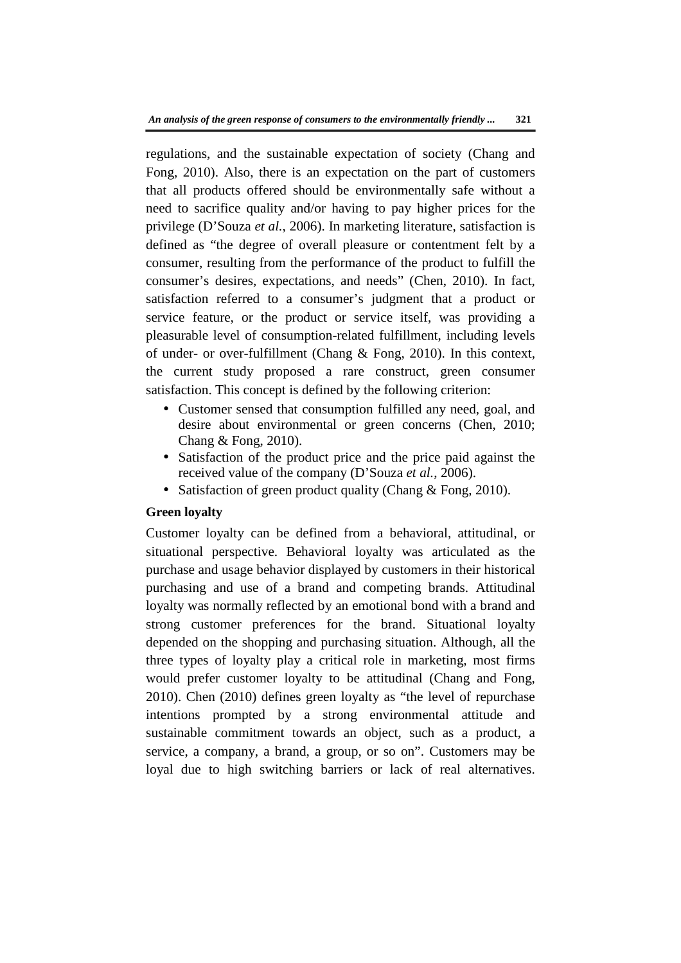regulations, and the sustainable expectation of society (Chang and Fong, 2010). Also, there is an expectation on the part of customers that all products offered should be environmentally safe without a need to sacrifice quality and/or having to pay higher prices for the privilege (D'Souza *et al.*, 2006). In marketing literature, satisfaction is defined as "the degree of overall pleasure or contentment felt by a consumer, resulting from the performance of the product to fulfill the consumer's desires, expectations, and needs" (Chen, 2010). In fact, satisfaction referred to a consumer's judgment that a product or service feature, or the product or service itself, was providing a pleasurable level of consumption-related fulfillment, including levels of under- or over-fulfillment (Chang & Fong, 2010). In this context, the current study proposed a rare construct, green consumer satisfaction. This concept is defined by the following criterion:

- Customer sensed that consumption fulfilled any need, goal, and desire about environmental or green concerns (Chen, 2010; Chang & Fong, 2010).
- Satisfaction of the product price and the price paid against the received value of the company (D'Souza *et al.*, 2006).
- Satisfaction of green product quality (Chang & Fong, 2010).

# **Green loyalty**

Customer loyalty can be defined from a behavioral, attitudinal, or situational perspective. Behavioral loyalty was articulated as the purchase and usage behavior displayed by customers in their historical purchasing and use of a brand and competing brands. Attitudinal loyalty was normally reflected by an emotional bond with a brand and strong customer preferences for the brand. Situational loyalty depended on the shopping and purchasing situation. Although, all the three types of loyalty play a critical role in marketing, most firms would prefer customer loyalty to be attitudinal (Chang and Fong, 2010). Chen (2010) defines green loyalty as "the level of repurchase intentions prompted by a strong environmental attitude and sustainable commitment towards an object, such as a product, a service, a company, a brand, a group, or so on". Customers may be loyal due to high switching barriers or lack of real alternatives.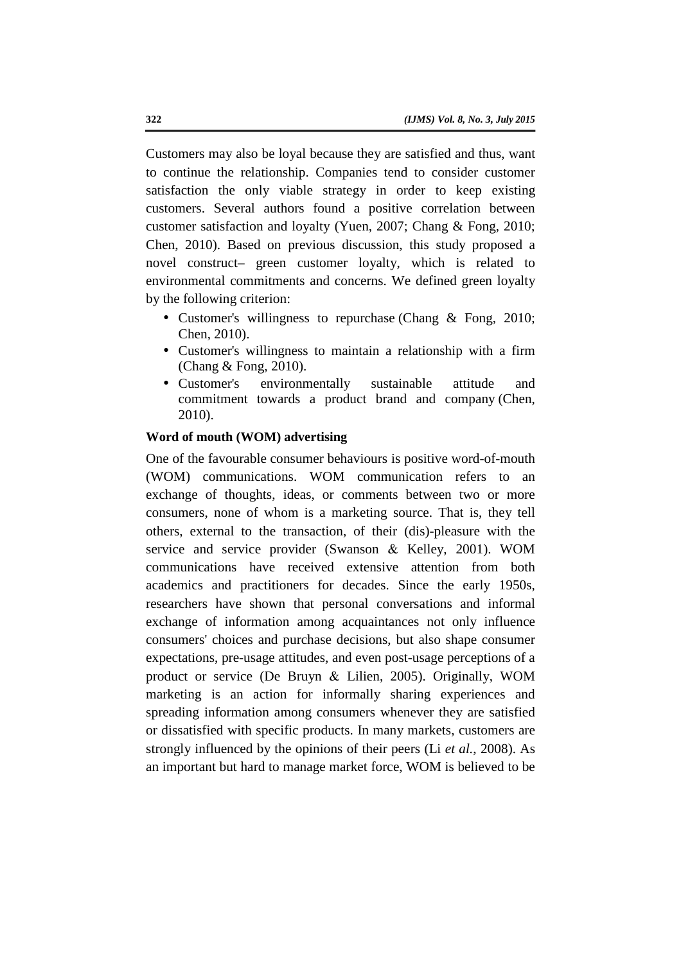Customers may also be loyal because they are satisfied and thus, want to continue the relationship. Companies tend to consider customer satisfaction the only viable strategy in order to keep existing customers. Several authors found a positive correlation between customer satisfaction and loyalty (Yuen, 2007; Chang & Fong, 2010; Chen, 2010). Based on previous discussion, this study proposed a novel construct– green customer loyalty, which is related to environmental commitments and concerns. We defined green loyalty by the following criterion:

- Customer's willingness to repurchase (Chang & Fong, 2010; Chen, 2010).
- Customer's willingness to maintain a relationship with a firm (Chang & Fong, 2010).
- Customer's environmentally sustainable attitude and commitment towards a product brand and company (Chen, 2010).

## **Word of mouth (WOM) advertising**

One of the favourable consumer behaviours is positive word-of-mouth (WOM) communications. WOM communication refers to an exchange of thoughts, ideas, or comments between two or more consumers, none of whom is a marketing source. That is, they tell others, external to the transaction, of their (dis)-pleasure with the service and service provider (Swanson & Kelley, 2001). WOM communications have received extensive attention from both academics and practitioners for decades. Since the early 1950s, researchers have shown that personal conversations and informal exchange of information among acquaintances not only influence consumers' choices and purchase decisions, but also shape consumer expectations, pre-usage attitudes, and even post-usage perceptions of a product or service (De Bruyn & Lilien, 2005). Originally, WOM marketing is an action for informally sharing experiences and spreading information among consumers whenever they are satisfied or dissatisfied with specific products. In many markets, customers are strongly influenced by the opinions of their peers (Li *et al.*, 2008). As an important but hard to manage market force, WOM is believed to be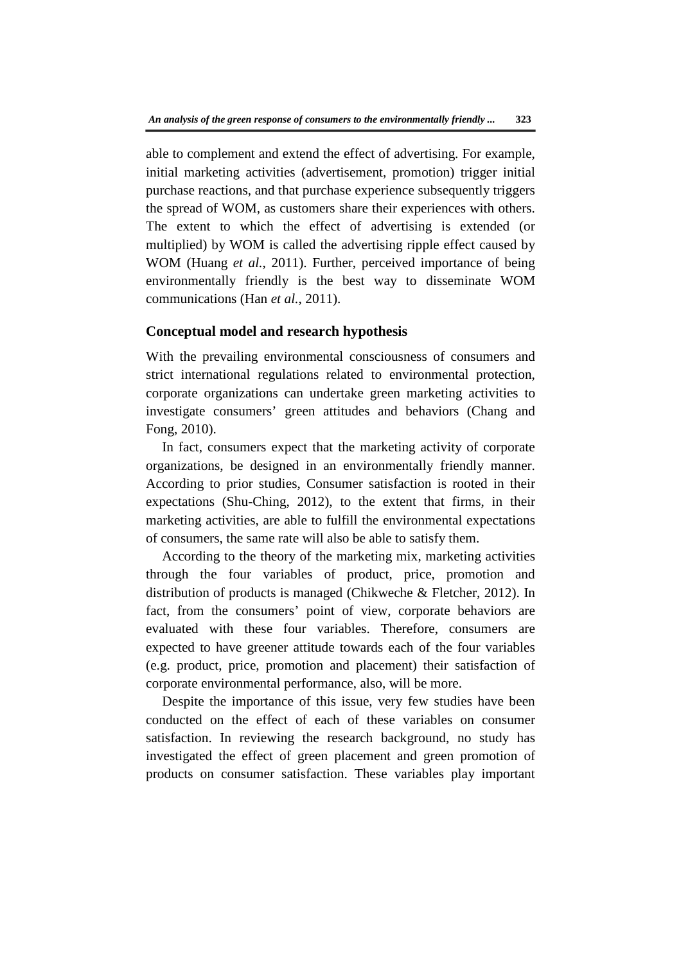able to complement and extend the effect of advertising. For example, initial marketing activities (advertisement, promotion) trigger initial purchase reactions, and that purchase experience subsequently triggers the spread of WOM, as customers share their experiences with others. The extent to which the effect of advertising is extended (or multiplied) by WOM is called the advertising ripple effect caused by WOM (Huang *et al.*, 2011). Further, perceived importance of being environmentally friendly is the best way to disseminate WOM communications (Han *et al.*, 2011).

# **Conceptual model and research hypothesis**

With the prevailing environmental consciousness of consumers and strict international regulations related to environmental protection, corporate organizations can undertake green marketing activities to investigate consumers' green attitudes and behaviors (Chang and Fong, 2010).

In fact, consumers expect that the marketing activity of corporate organizations, be designed in an environmentally friendly manner. According to prior studies, Consumer satisfaction is rooted in their expectations (Shu-Ching, 2012), to the extent that firms, in their marketing activities, are able to fulfill the environmental expectations of consumers, the same rate will also be able to satisfy them.

According to the theory of the marketing mix, marketing activities through the four variables of product, price, promotion and distribution of products is managed (Chikweche & Fletcher, 2012). In fact, from the consumers' point of view, corporate behaviors are evaluated with these four variables. Therefore, consumers are expected to have greener attitude towards each of the four variables (e.g. product, price, promotion and placement) their satisfaction of corporate environmental performance, also, will be more.

Despite the importance of this issue, very few studies have been conducted on the effect of each of these variables on consumer satisfaction. In reviewing the research background, no study has investigated the effect of green placement and green promotion of products on consumer satisfaction. These variables play important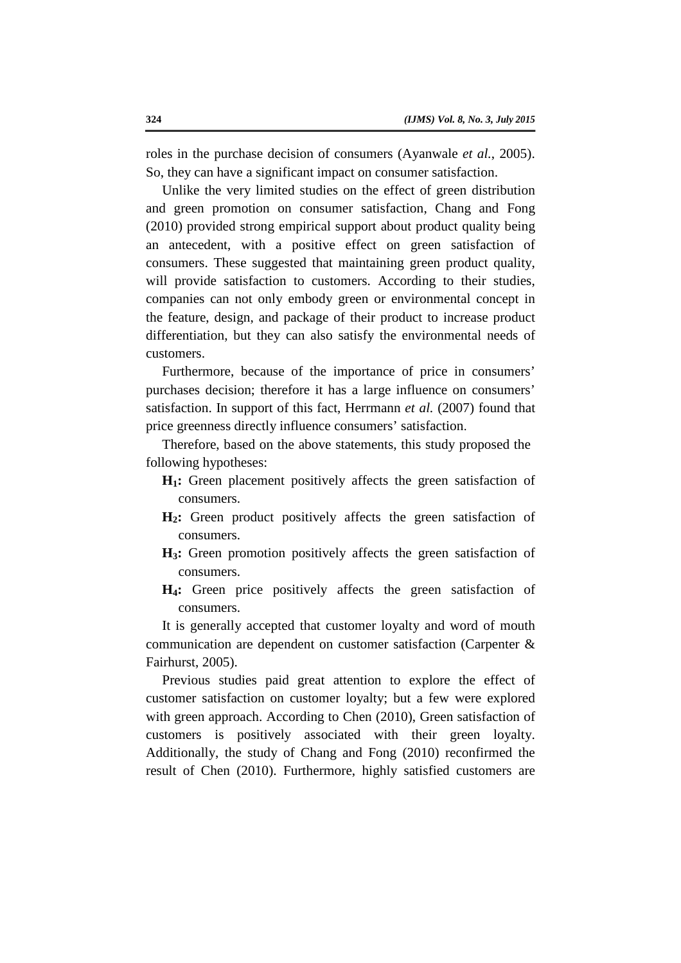roles in the purchase decision of consumers (Ayanwale *et al.*, 2005). So, they can have a significant impact on consumer satisfaction.

Unlike the very limited studies on the effect of green distribution and green promotion on consumer satisfaction, Chang and Fong (2010) provided strong empirical support about product quality being an antecedent, with a positive effect on green satisfaction of consumers. These suggested that maintaining green product quality, will provide satisfaction to customers. According to their studies, companies can not only embody green or environmental concept in the feature, design, and package of their product to increase product differentiation, but they can also satisfy the environmental needs of customers.

Furthermore, because of the importance of price in consumers' purchases decision; therefore it has a large influence on consumers' satisfaction. In support of this fact, Herrmann *et al.* (2007) found that price greenness directly influence consumers' satisfaction.

Therefore, based on the above statements, this study proposed the following hypotheses:

- **H1:** Green placement positively affects the green satisfaction of consumers.
- **H2:** Green product positively affects the green satisfaction of consumers.
- **H3:** Green promotion positively affects the green satisfaction of consumers.
- **H4:** Green price positively affects the green satisfaction of consumers.

It is generally accepted that customer loyalty and word of mouth communication are dependent on customer satisfaction (Carpenter & Fairhurst, 2005).

Previous studies paid great attention to explore the effect of customer satisfaction on customer loyalty; but a few were explored with green approach. According to Chen (2010), Green satisfaction of customers is positively associated with their green loyalty. Additionally, the study of Chang and Fong (2010) reconfirmed the result of Chen (2010). Furthermore, highly satisfied customers are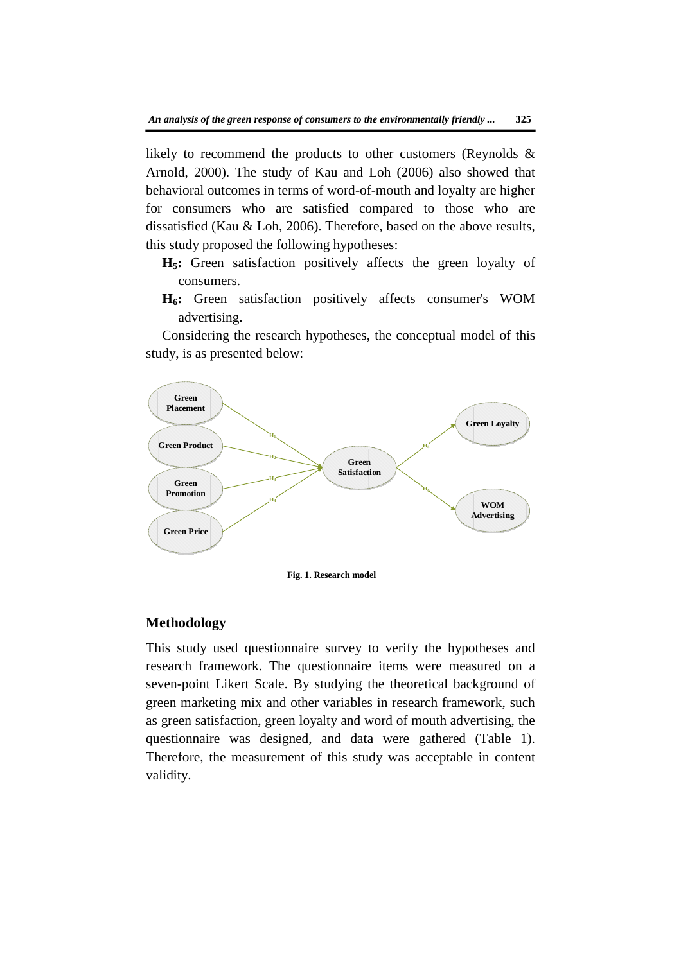likely to recommend the products to other customers (Reynolds & Arnold, 2000). The study of Kau and Loh (2006) also showed that behavioral outcomes in terms of word-of-mouth and loyalty are higher for consumers who are satisfied compared to those who are dissatisfied (Kau & Loh, 2006). Therefore, based on the above results, this study proposed the following hypotheses:

- **H5:** Green satisfaction positively affects the green loyalty of consumers.
- **H6:** Green satisfaction positively affects consumer's WOM advertising.

Considering the research hypotheses, the conceptual model of this study, is as presented below:



**Fig. 1. Research model**

#### **Methodology**

This study used questionnaire survey to verify the hypotheses and research framework. The questionnaire items were measured on a seven-point Likert Scale. By studying the theoretical background of green marketing mix and other variables in research framework, such as green satisfaction, green loyalty and word of mouth advertising, the questionnaire was designed, and data were gathered (Table 1). Therefore, the measurement of this study was acceptable in content validity.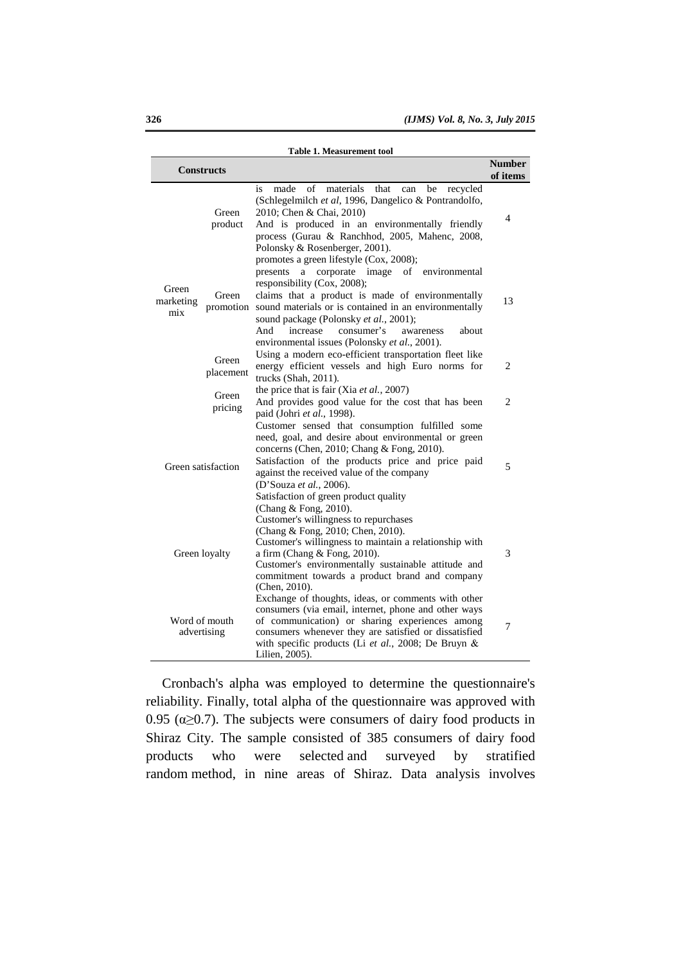| <b>Table 1. Measurement tool</b> |                    |                                                                                                                                                                                                                                                                                                                                                     |                           |  |
|----------------------------------|--------------------|-----------------------------------------------------------------------------------------------------------------------------------------------------------------------------------------------------------------------------------------------------------------------------------------------------------------------------------------------------|---------------------------|--|
|                                  | <b>Constructs</b>  |                                                                                                                                                                                                                                                                                                                                                     | <b>Number</b><br>of items |  |
| Green<br>marketing<br>mix        | Green<br>product   | of<br>made<br>materials<br>that<br>be<br>recycled<br>is<br>can<br>(Schlegelmilch et al, 1996, Dangelico & Pontrandolfo,<br>2010; Chen & Chai, 2010)<br>And is produced in an environmentally friendly<br>process (Gurau & Ranchhod, 2005, Mahenc, 2008,<br>Polonsky & Rosenberger, 2001).                                                           | 4                         |  |
|                                  | Green<br>promotion | promotes a green lifestyle (Cox, 2008);<br>corporate<br>image<br>of environmental<br>presents<br>a<br>responsibility (Cox, 2008);<br>claims that a product is made of environmentally<br>sound materials or is contained in an environmentally<br>sound package (Polonsky et al., 2001);<br>increase<br>consumer's<br>And<br>about<br>awareness     | 13                        |  |
|                                  | Green<br>placement | environmental issues (Polonsky et al., 2001).<br>Using a modern eco-efficient transportation fleet like<br>energy efficient vessels and high Euro norms for<br>trucks (Shah, 2011).                                                                                                                                                                 | 2                         |  |
|                                  | Green<br>pricing   | the price that is fair (Xia et al., 2007)<br>And provides good value for the cost that has been<br>paid (Johri et al., 1998).                                                                                                                                                                                                                       |                           |  |
| Green satisfaction               |                    | Customer sensed that consumption fulfilled some<br>need, goal, and desire about environmental or green<br>concerns (Chen, 2010; Chang & Fong, 2010).<br>Satisfaction of the products price and price paid<br>against the received value of the company<br>(D'Souza et al., 2006).<br>Satisfaction of green product quality<br>(Chang & Fong, 2010). | 5                         |  |
| Green loyalty                    |                    | Customer's willingness to repurchases<br>(Chang & Fong, 2010; Chen, 2010).<br>Customer's willingness to maintain a relationship with<br>a firm (Chang $&$ Fong, 2010).<br>Customer's environmentally sustainable attitude and<br>commitment towards a product brand and company<br>(Chen, 2010).                                                    | 3                         |  |
| Word of mouth<br>advertising     |                    | Exchange of thoughts, ideas, or comments with other<br>consumers (via email, internet, phone and other ways<br>of communication) or sharing experiences among<br>consumers whenever they are satisfied or dissatisfied<br>with specific products (Li et al., 2008; De Bruyn $\&$<br>Lilien, 2005).                                                  | 7                         |  |

Cronbach's alpha was employed to determine the questionnaire's reliability. Finally, total alpha of the questionnaire was approved with 0.95 ( $\alpha \geq 0.7$ ). The subjects were consumers of dairy food products in Shiraz City. The sample consisted of 385 consumers of dairy food products who were selected and surveyed by stratified random method, in nine areas of Shiraz. Data analysis involves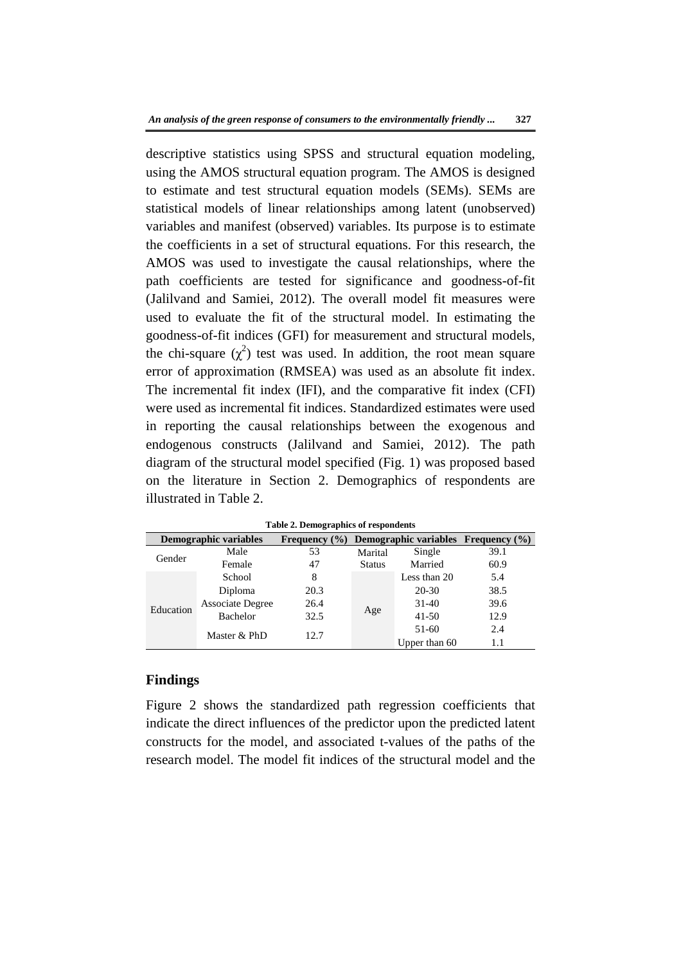descriptive statistics using SPSS and structural equation modeling, using the AMOS structural equation program. The AMOS is designed to estimate and test structural equation models (SEMs). SEMs are statistical models of linear relationships among latent (unobserved) variables and manifest (observed) variables. Its purpose is to estimate the coefficients in a set of structural equations. For this research, the AMOS was used to investigate the causal relationships, where the path coefficients are tested for significance and goodness-of-fit (Jalilvand and Samiei, 2012). The overall model fit measures were used to evaluate the fit of the structural model. In estimating the goodness-of-fit indices (GFI) for measurement and structural models, the chi-square  $(\chi^2)$  test was used. In addition, the root mean square error of approximation (RMSEA) was used as an absolute fit index. The incremental fit index (IFI), and the comparative fit index (CFI) were used as incremental fit indices. Standardized estimates were used in reporting the causal relationships between the exogenous and endogenous constructs (Jalilvand and Samiei, 2012). The path diagram of the structural model specified (Fig. 1) was proposed based on the literature in Section 2. Demographics of respondents are illustrated in Table 2.

| Demographic variables |                         | Frequency $(\% )$   | Demographic variables $F$ requency $(\%)$ |               |      |
|-----------------------|-------------------------|---------------------|-------------------------------------------|---------------|------|
| Gender                | Male                    | 53                  | Marital                                   | Single        | 39.1 |
|                       | Female                  | <b>Status</b><br>47 |                                           | Married       | 60.9 |
| Education             | School                  | 8                   |                                           | Less than 20  | 5.4  |
|                       | Diploma                 | 20.3                |                                           | 20-30         | 38.5 |
|                       | <b>Associate Degree</b> | 26.4                |                                           | $31-40$       | 39.6 |
|                       | Bachelor                | 32.5                | Age                                       | $41 - 50$     | 12.9 |
|                       |                         | 12.7                |                                           | $51-60$       | 2.4  |
|                       | Master & PhD            |                     |                                           | Upper than 60 | 1.1  |

**Table 2. Demographics of respondents** 

## **Findings**

Figure 2 shows the standardized path regression coefficients that indicate the direct influences of the predictor upon the predicted latent constructs for the model, and associated t-values of the paths of the research model. The model fit indices of the structural model and the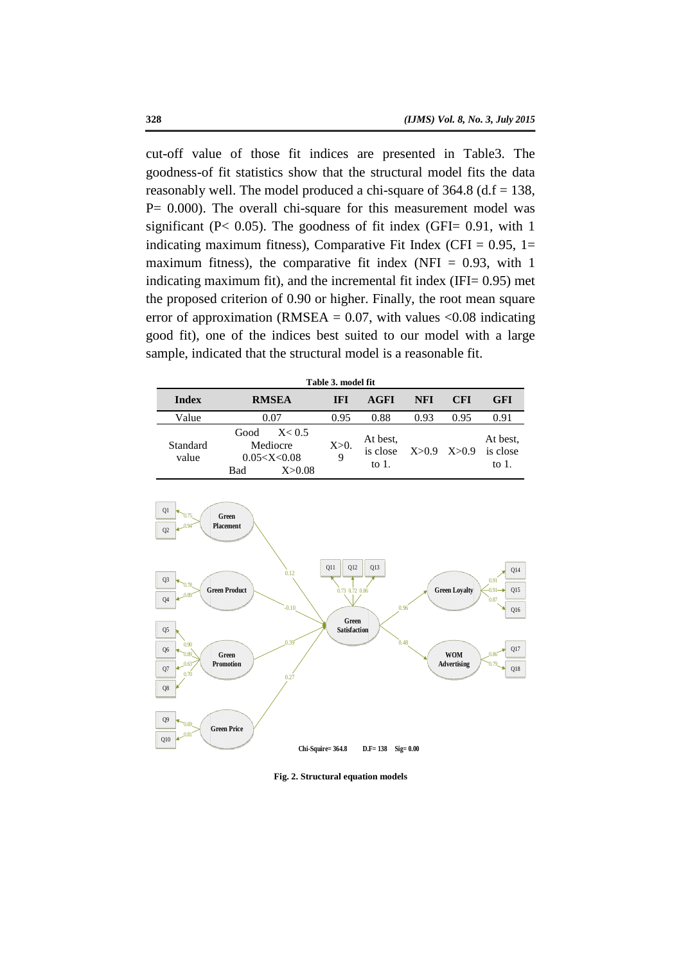cut-off value of those fit indices are presented in Table3. The goodness-of fit statistics show that the structural model fits the data reasonably well. The model produced a chi-square of  $364.8$  (d.f = 138,  $P= 0.000$ . The overall chi-square for this measurement model was significant ( $P < 0.05$ ). The goodness of fit index (GFI= 0.91, with 1 indicating maximum fitness), Comparative Fit Index (CFI =  $0.95$ , 1= maximum fitness), the comparative fit index (NFI =  $0.93$ , with 1 indicating maximum fit), and the incremental fit index (IFI= 0.95) met the proposed criterion of 0.90 or higher. Finally, the root mean square error of approximation (RMSEA =  $0.07$ , with values < $0.08$  indicating good fit), one of the indices best suited to our model with a large sample, indicated that the structural model is a reasonable fit.

| Table 3. model fit |                                                                   |            |                                  |      |                 |                                  |
|--------------------|-------------------------------------------------------------------|------------|----------------------------------|------|-----------------|----------------------------------|
| <b>Index</b>       | <b>RMSEA</b>                                                      | <b>IFI</b> | AGFI                             | NFI  | <b>CFI</b>      | <b>GFI</b>                       |
| Value              | 0.07                                                              | 0.95       | 0.88                             | 0.93 | 0.95            | 0.91                             |
| Standard<br>value  | Good<br>X < 0.5<br>Mediocre<br>0.05 < X < 0.08<br>Bad<br>X > 0.08 | $X>0$ .    | At best,<br>is close<br>to $1$ . |      | $X>0.9$ $X>0.9$ | At best.<br>is close<br>to $1$ . |



**Fig. 2. Structural equation models**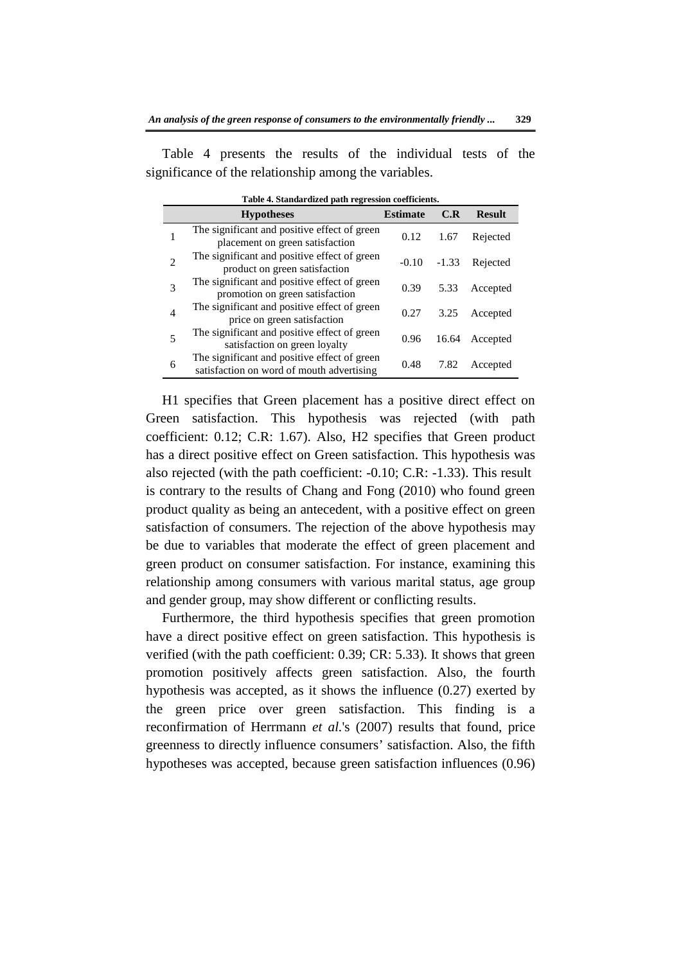Table 4 presents the results of the individual tests of the significance of the relationship among the variables.

| Table 4. Standardized path regression coefficients. |                                                                                           |                 |         |               |  |
|-----------------------------------------------------|-------------------------------------------------------------------------------------------|-----------------|---------|---------------|--|
|                                                     | <b>Hypotheses</b>                                                                         | <b>Estimate</b> | C.R     | <b>Result</b> |  |
|                                                     | The significant and positive effect of green<br>placement on green satisfaction           | 0.12            | 1.67    | Rejected      |  |
| 2                                                   | The significant and positive effect of green<br>product on green satisfaction             | $-0.10$         | $-1.33$ | Rejected      |  |
| 3                                                   | The significant and positive effect of green<br>promotion on green satisfaction           | 0.39            | 5.33    | Accepted      |  |
| 4                                                   | The significant and positive effect of green<br>price on green satisfaction               | 0.27            | 3.25    | Accepted      |  |
| 5                                                   | The significant and positive effect of green<br>satisfaction on green loyalty             | 0.96            | 16.64   | Accepted      |  |
| 6                                                   | The significant and positive effect of green<br>satisfaction on word of mouth advertising | 0.48            | 7.82    | Accepted      |  |

**Table 4. Standardized path regression coefficients.**

H1 specifies that Green placement has a positive direct effect on Green satisfaction. This hypothesis was rejected (with path coefficient: 0.12; C.R: 1.67). Also, H2 specifies that Green product has a direct positive effect on Green satisfaction. This hypothesis was also rejected (with the path coefficient: -0.10; C.R: -1.33). This result is contrary to the results of Chang and Fong (2010) who found green product quality as being an antecedent, with a positive effect on green satisfaction of consumers. The rejection of the above hypothesis may be due to variables that moderate the effect of green placement and green product on consumer satisfaction. For instance, examining this relationship among consumers with various marital status, age group and gender group, may show different or conflicting results.

Furthermore, the third hypothesis specifies that green promotion have a direct positive effect on green satisfaction. This hypothesis is verified (with the path coefficient: 0.39; CR: 5.33). It shows that green promotion positively affects green satisfaction. Also, the fourth hypothesis was accepted, as it shows the influence (0.27) exerted by the green price over green satisfaction. This finding is a reconfirmation of Herrmann *et al.*'s (2007) results that found, price greenness to directly influence consumers' satisfaction. Also, the fifth hypotheses was accepted, because green satisfaction influences (0.96)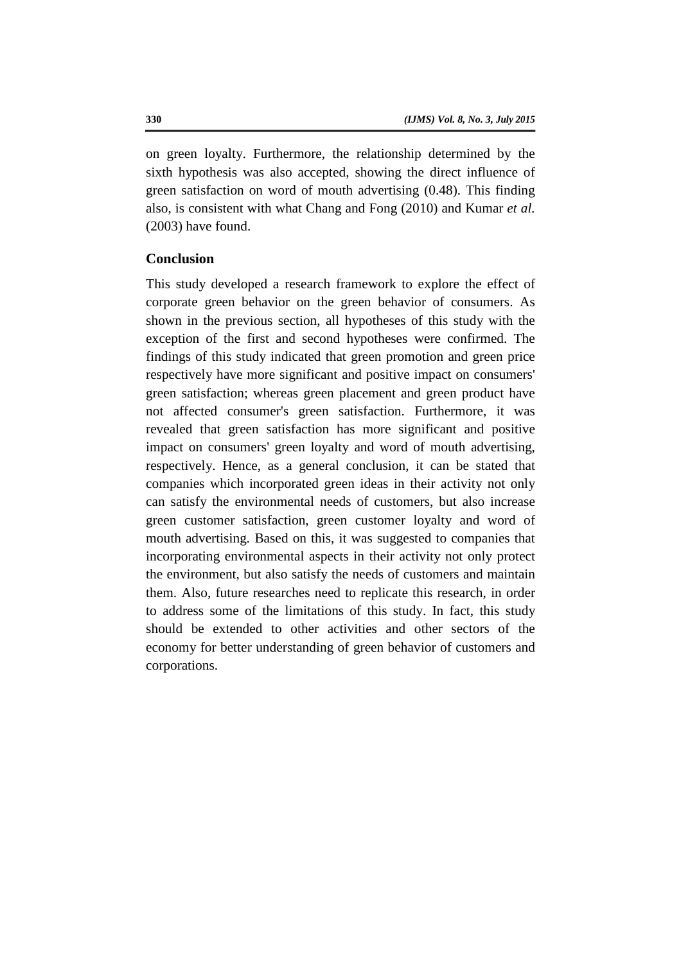on green loyalty. Furthermore, the relationship determined by the sixth hypothesis was also accepted, showing the direct influence of green satisfaction on word of mouth advertising (0.48). This finding also, is consistent with what Chang and Fong (2010) and Kumar *et al.* (2003) have found.

# **Conclusion**

This study developed a research framework to explore the effect of corporate green behavior on the green behavior of consumers. As shown in the previous section, all hypotheses of this study with the exception of the first and second hypotheses were confirmed. The findings of this study indicated that green promotion and green price respectively have more significant and positive impact on consumers' green satisfaction; whereas green placement and green product have not affected consumer's green satisfaction. Furthermore, it was revealed that green satisfaction has more significant and positive impact on consumers' green loyalty and word of mouth advertising, respectively. Hence, as a general conclusion, it can be stated that companies which incorporated green ideas in their activity not only can satisfy the environmental needs of customers, but also increase green customer satisfaction, green customer loyalty and word of mouth advertising. Based on this, it was suggested to companies that incorporating environmental aspects in their activity not only protect the environment, but also satisfy the needs of customers and maintain them. Also, future researches need to replicate this research, in order to address some of the limitations of this study. In fact, this study should be extended to other activities and other sectors of the economy for better understanding of green behavior of customers and corporations.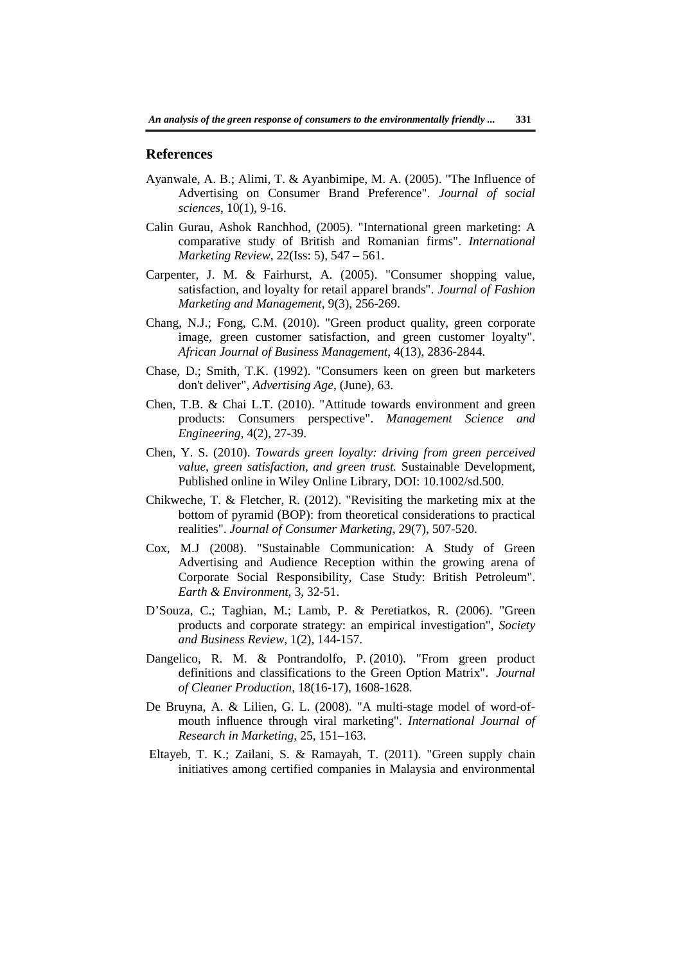#### **References**

- Ayanwale, A. B.; Alimi, T. & Ayanbimipe, M. A. (2005). "The Influence of Advertising on Consumer Brand Preference". *Journal of social sciences*, 10(1), 9-16.
- Calin Gurau, Ashok Ranchhod, (2005). "International green marketing: A comparative study of British and Romanian firms". *International Marketing Review*, 22(Iss: 5), 547 – 561.
- Carpenter, J. M. & Fairhurst, A. (2005). "Consumer shopping value, satisfaction, and loyalty for retail apparel brands". *Journal of Fashion Marketing and Management*, 9(3), 256-269.
- Chang, N.J.; Fong, C.M. (2010). "Green product quality, green corporate image, green customer satisfaction, and green customer loyalty". *African Journal of Business Management*, 4(13), 2836-2844.
- Chase, D.; Smith, T.K. (1992). "Consumers keen on green but marketers don't deliver", *Advertising Age*, (June), 63.
- Chen, T.B. & Chai L.T. (2010). "Attitude towards environment and green products: Consumers perspective". *Management Science and Engineering*, 4(2), 27-39.
- Chen, Y. S. (2010). *Towards green loyalty: driving from green perceived value, green satisfaction, and green trust.* Sustainable Development, Published online in Wiley Online Library, DOI: 10.1002/sd.500.
- Chikweche, T. & Fletcher, R. (2012). "Revisiting the marketing mix at the bottom of pyramid (BOP): from theoretical considerations to practical realities". *Journal of Consumer Marketing*, 29(7), 507-520.
- Cox, M.J (2008). "Sustainable Communication: A Study of Green Advertising and Audience Reception within the growing arena of Corporate Social Responsibility, Case Study: British Petroleum". *Earth & Environment*, 3, 32-51.
- D'Souza, C.; Taghian, M.; Lamb, P. & Peretiatkos, R. (2006). "Green products and corporate strategy: an empirical investigation", *Society and Business Review*, 1(2), 144-157.
- Dangelico, R. M. & Pontrandolfo, P. (2010). "From green product definitions and classifications to the Green Option Matrix". *Journal of Cleaner Production*, 18(16-17), 1608-1628.
- De Bruyna, A. & Lilien, G. L. (2008). "A multi-stage model of word-ofmouth influence through viral marketing". *International Journal of Research in Marketing*, 25, 151–163.
- Eltayeb, T. K.; Zailani, S. & Ramayah, T. (2011). "Green supply chain initiatives among certified companies in Malaysia and environmental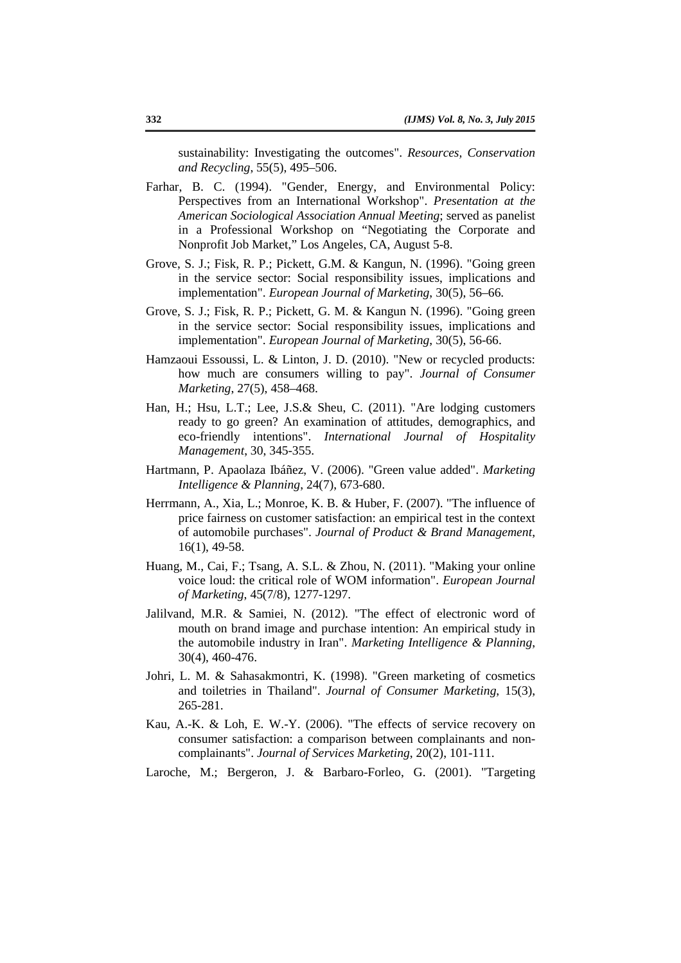sustainability: Investigating the outcomes". *Resources, Conservation and Recycling*, 55(5), 495–506.

- Farhar, B. C. (1994). "Gender, Energy, and Environmental Policy: Perspectives from an International Workshop". *Presentation at the American Sociological Association Annual Meeting*; served as panelist in a Professional Workshop on "Negotiating the Corporate and Nonprofit Job Market," Los Angeles, CA, August 5-8.
- Grove, S. J.; Fisk, R. P.; Pickett, G.M. & Kangun, N. (1996). "Going green in the service sector: Social responsibility issues, implications and implementation". *European Journal of Marketing*, 30(5), 56–66.
- Grove, S. J.; Fisk, R. P.; Pickett, G. M. & Kangun N. (1996). "Going green in the service sector: Social responsibility issues, implications and implementation". *European Journal of Marketing*, 30(5), 56-66.
- Hamzaoui Essoussi, L. & Linton, J. D. (2010). "New or recycled products: how much are consumers willing to pay". *Journal of Consumer Marketing*, 27(5), 458–468.
- Han, H.; Hsu, L.T.; Lee, J.S.& Sheu, C. (2011). "Are lodging customers ready to go green? An examination of attitudes, demographics, and eco-friendly intentions". *International Journal of Hospitality Management*, 30, 345-355.
- Hartmann, P. Apaolaza Ibáñez, V. (2006). "Green value added". *Marketing Intelligence & Planning*, 24(7), 673-680.
- Herrmann, A., Xia, L.; Monroe, K. B. & Huber, F. (2007). "The influence of price fairness on customer satisfaction: an empirical test in the context of automobile purchases". *Journal of Product & Brand Management*, 16(1), 49-58.
- Huang, M., Cai, F.; Tsang, A. S.L. & Zhou, N. (2011). "Making your online voice loud: the critical role of WOM information". *European Journal of Marketing*, 45(7/8), 1277-1297.
- Jalilvand, M.R. & Samiei, N. (2012). "The effect of electronic word of mouth on brand image and purchase intention: An empirical study in the automobile industry in Iran". *Marketing Intelligence & Planning*, 30(4), 460-476.
- Johri, L. M. & Sahasakmontri, K. (1998). "Green marketing of cosmetics and toiletries in Thailand". *Journal of Consumer Marketing*, 15(3), 265-281.
- Kau, A.-K. & Loh, E. W.-Y. (2006). "The effects of service recovery on consumer satisfaction: a comparison between complainants and noncomplainants". *Journal of Services Marketing*, 20(2), 101-111.
- Laroche, M.; Bergeron, J. & Barbaro-Forleo, G. (2001). "Targeting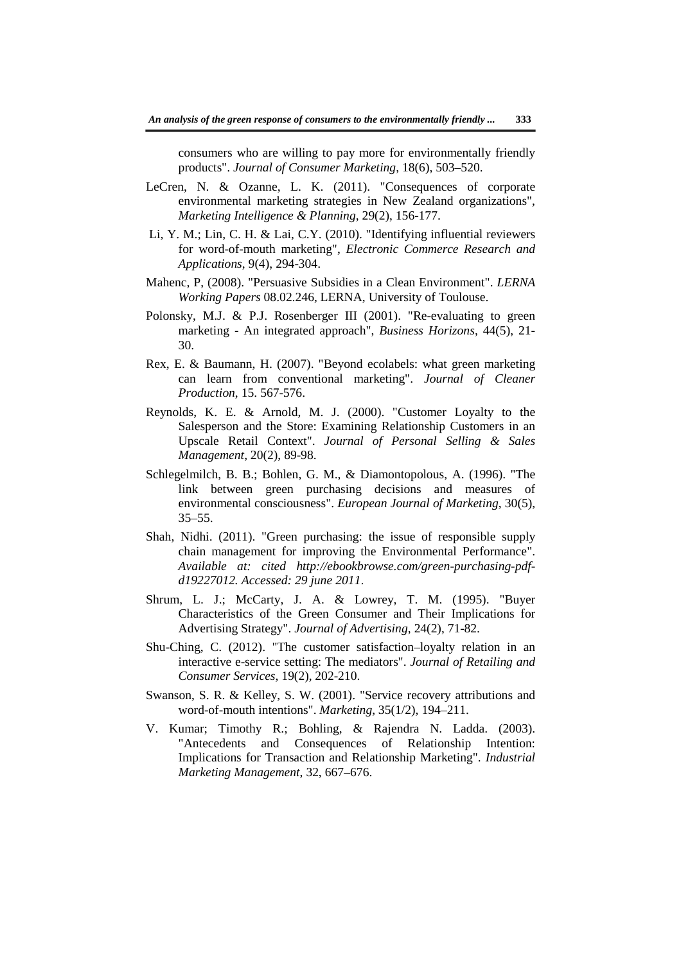consumers who are willing to pay more for environmentally friendly products". *Journal of Consumer Marketing*, 18(6), 503–520.

- LeCren, N. & Ozanne, L. K. (2011). "Consequences of corporate environmental marketing strategies in New Zealand organizations", *Marketing Intelligence & Planning*, 29(2), 156-177.
- Li, Y. M.; Lin, C. H. & Lai, C.Y. (2010). "Identifying influential reviewers for word-of-mouth marketing", *Electronic Commerce Research and Applications*, 9(4), 294-304.
- Mahenc, P, (2008). "Persuasive Subsidies in a Clean Environment". *LERNA Working Papers* 08.02.246, LERNA, University of Toulouse.
- Polonsky, M.J. & P.J. Rosenberger III (2001). "Re-evaluating to green marketing - An integrated approach", *Business Horizons*, 44(5), 21- 30.
- Rex, E. & Baumann, H. (2007). "Beyond ecolabels: what green marketing can learn from conventional marketing". *Journal of Cleaner Production*, 15. 567-576.
- Reynolds, K. E. & Arnold, M. J. (2000). "Customer Loyalty to the Salesperson and the Store: Examining Relationship Customers in an Upscale Retail Context". *Journal of Personal Selling & Sales Management*, 20(2), 89-98.
- Schlegelmilch, B. B.; Bohlen, G. M., & Diamontopolous, A. (1996). "The link between green purchasing decisions and measures of environmental consciousness". *European Journal of Marketing*, 30(5), 35–55.
- Shah, Nidhi. (2011). "Green purchasing: the issue of responsible supply chain management for improving the Environmental Performance". *Available at: cited http://ebookbrowse.com/green-purchasing-pdfd19227012. Accessed: 29 june 2011*.
- Shrum, L. J.; McCarty, J. A. & Lowrey, T. M. (1995). "Buyer Characteristics of the Green Consumer and Their Implications for Advertising Strategy". *Journal of Advertising*, 24(2), 71-82.
- Shu-Ching, C. (2012). "The customer satisfaction–loyalty relation in an interactive e-service setting: The mediators". *Journal of Retailing and Consumer Services*, 19(2), 202-210.
- Swanson, S. R. & Kelley, S. W. (2001). "Service recovery attributions and word-of-mouth intentions". *Marketing*, 35(1/2), 194–211.
- V. Kumar; Timothy R.; Bohling, & Rajendra N. Ladda. (2003). "Antecedents and Consequences of Relationship Intention: Implications for Transaction and Relationship Marketing". *Industrial Marketing Management*, 32, 667–676.